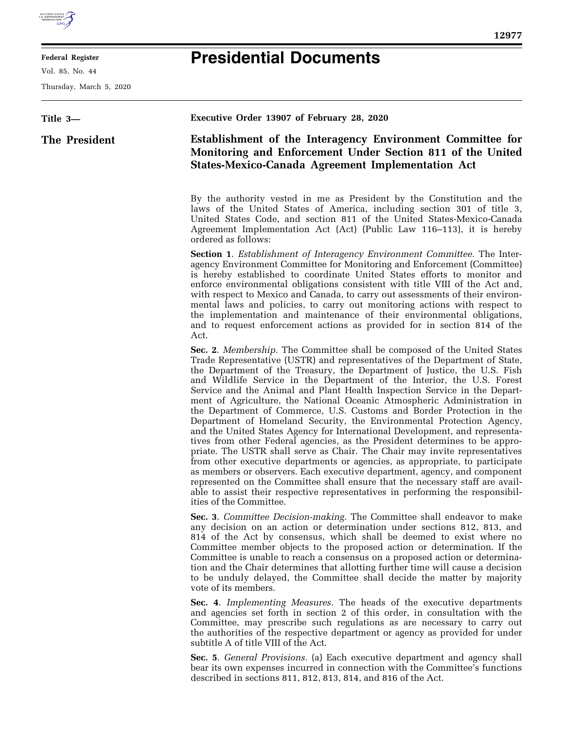## **Presidential Documents**

**Federal Register**  Vol. 85, No. 44

Thursday, March 5, 2020

| Title 3-      | Executive Order 13907 of February 28, 2020                                                                                                                                                                                                                                                                                                                                                                                                                                                                                                                                                                                                                                                                                                                                                                                                                                                                                                                                                                                                                                                                                                                                                                                       |
|---------------|----------------------------------------------------------------------------------------------------------------------------------------------------------------------------------------------------------------------------------------------------------------------------------------------------------------------------------------------------------------------------------------------------------------------------------------------------------------------------------------------------------------------------------------------------------------------------------------------------------------------------------------------------------------------------------------------------------------------------------------------------------------------------------------------------------------------------------------------------------------------------------------------------------------------------------------------------------------------------------------------------------------------------------------------------------------------------------------------------------------------------------------------------------------------------------------------------------------------------------|
| The President | <b>Establishment of the Interagency Environment Committee for</b><br>Monitoring and Enforcement Under Section 811 of the United<br><b>States-Mexico-Canada Agreement Implementation Act</b>                                                                                                                                                                                                                                                                                                                                                                                                                                                                                                                                                                                                                                                                                                                                                                                                                                                                                                                                                                                                                                      |
|               | By the authority vested in me as President by the Constitution and the<br>laws of the United States of America, including section 301 of title 3,<br>United States Code, and section 811 of the United States-Mexico-Canada<br>Agreement Implementation Act (Act) (Public Law 116–113), it is hereby<br>ordered as follows:                                                                                                                                                                                                                                                                                                                                                                                                                                                                                                                                                                                                                                                                                                                                                                                                                                                                                                      |
|               | <b>Section 1.</b> Establishment of Interagency Environment Committee. The Inter-<br>agency Environment Committee for Monitoring and Enforcement (Committee)<br>is hereby established to coordinate United States efforts to monitor and<br>enforce environmental obligations consistent with title VIII of the Act and,<br>with respect to Mexico and Canada, to carry out assessments of their environ-<br>mental laws and policies, to carry out monitoring actions with respect to<br>the implementation and maintenance of their environmental obligations,<br>and to request enforcement actions as provided for in section 814 of the<br>Act.                                                                                                                                                                                                                                                                                                                                                                                                                                                                                                                                                                              |
|               | Sec. 2. Membership. The Committee shall be composed of the United States<br>Trade Representative (USTR) and representatives of the Department of State,<br>the Department of the Treasury, the Department of Justice, the U.S. Fish<br>and Wildlife Service in the Department of the Interior, the U.S. Forest<br>Service and the Animal and Plant Health Inspection Service in the Depart-<br>ment of Agriculture, the National Oceanic Atmospheric Administration in<br>the Department of Commerce, U.S. Customs and Border Protection in the<br>Department of Homeland Security, the Environmental Protection Agency,<br>and the United States Agency for International Development, and representa-<br>tives from other Federal agencies, as the President determines to be appro-<br>priate. The USTR shall serve as Chair. The Chair may invite representatives<br>from other executive departments or agencies, as appropriate, to participate<br>as members or observers. Each executive department, agency, and component<br>represented on the Committee shall ensure that the necessary staff are avail-<br>able to assist their respective representatives in performing the responsibil-<br>ities of the Committee. |
|               | Sec. 3. Committee Decision-making. The Committee shall endeavor to make<br>any decision on an action or determination under sections 812, 813, and<br>814 of the Act by consensus, which shall be deemed to exist where no<br>Committee member objects to the proposed action or determination. If the<br>Committee is unable to reach a consensus on a proposed action or determina-<br>tion and the Chair determines that allotting further time will cause a decision<br>to be unduly delayed, the Committee shall decide the matter by majority<br>vote of its members.                                                                                                                                                                                                                                                                                                                                                                                                                                                                                                                                                                                                                                                      |
|               | Sec. 4. Implementing Measures. The heads of the executive departments<br>and agencies set forth in section 2 of this order, in consultation with the<br>Committee, may prescribe such regulations as are necessary to carry out<br>the authorities of the respective department or agency as provided for under<br>subtitle A of title VIII of the Act.                                                                                                                                                                                                                                                                                                                                                                                                                                                                                                                                                                                                                                                                                                                                                                                                                                                                          |

**Sec. 5**. *General Provisions.* (a) Each executive department and agency shall bear its own expenses incurred in connection with the Committee's functions described in sections 811, 812, 813, 814, and 816 of the Act.